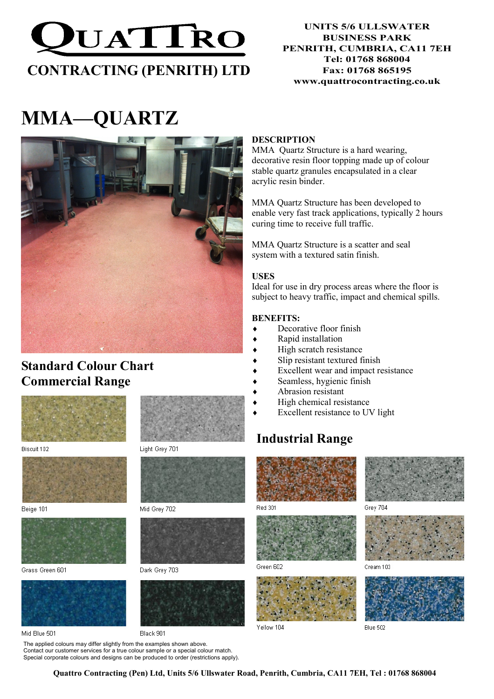

# MMA—QUARTZ



# Standard Colour Chart Commercial Range



Biscuit 102



Beige 101



Grass Green 601



Mid Blue 501

Black 901

The applied colours may differ slightly from the examples shown above. Contact our customer services for a true colour sample or a special colour match. Special corporate colours and designs can be produced to order (restrictions apply).

#### **DESCRIPTION**

MMA Quartz Structure is a hard wearing, decorative resin floor topping made up of colour stable quartz granules encapsulated in a clear acrylic resin binder.

MMA Quartz Structure has been developed to enable very fast track applications, typically 2 hours curing time to receive full traffic.

MMA Quartz Structure is a scatter and seal system with a textured satin finish.

#### USES

Ideal for use in dry process areas where the floor is subject to heavy traffic, impact and chemical spills.

#### BENEFITS:

- ♦ Decorative floor finish
- Rapid installation
- High scratch resistance
- Slip resistant textured finish
- Excellent wear and impact resistance
- Seamless, hygienic finish
- Abrasion resistant
- High chemical resistance
- ♦ Excellent resistance to UV light

# Industrial Range



**Red 301** 



Green 602



Vellow 104



Grey 704



Cream 103



Blue 502

Quattro Contracting (Pen) Ltd, Units 5/6 Ullswater Road, Penrith, Cumbria, CA11 7EH, Tel : 01768 868004



Mid Grey 702



Dark Grey 703